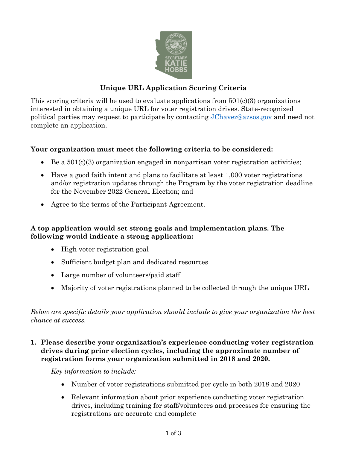

# **Unique URL Application Scoring Criteria**

This scoring criteria will be used to evaluate applications from  $501(c)(3)$  organizations interested in obtaining a unique URL for voter registration drives. State-recognized political parties may request to participate by contacting [JChavez@azsos.gov](mailto:JChavez@azsos.gov) and need not complete an application.

## **Your organization must meet the following criteria to be considered:**

- Be a  $501(c)(3)$  organization engaged in nonpartisan voter registration activities;
- Have a good faith intent and plans to facilitate at least 1,000 voter registrations and/or registration updates through the Program by the voter registration deadline for the November 2022 General Election; and
- Agree to the terms of the Participant Agreement.

## **A top application would set strong goals and implementation plans. The following would indicate a strong application:**

- High voter registration goal
- Sufficient budget plan and dedicated resources
- Large number of volunteers/paid staff
- Majority of voter registrations planned to be collected through the unique URL

*Below are specific details your application should include to give your organization the best chance at success.* 

#### **1. Please describe your organization's experience conducting voter registration drives during prior election cycles, including the approximate number of registration forms your organization submitted in 2018 and 2020.**

*Key information to include:*

- Number of voter registrations submitted per cycle in both 2018 and 2020
- Relevant information about prior experience conducting voter registration drives, including training for staff/volunteers and processes for ensuring the registrations are accurate and complete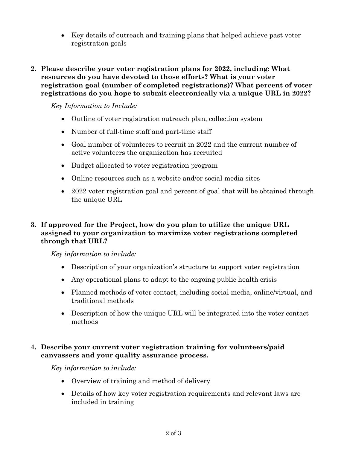- Key details of outreach and training plans that helped achieve past voter registration goals
- **2. Please describe your voter registration plans for 2022, including: What resources do you have devoted to those efforts? What is your voter registration goal (number of completed registrations)? What percent of voter registrations do you hope to submit electronically via a unique URL in 2022?**

*Key Information to Include:* 

- Outline of voter registration outreach plan, collection system
- Number of full-time staff and part-time staff
- Goal number of volunteers to recruit in 2022 and the current number of active volunteers the organization has recruited
- Budget allocated to voter registration program
- Online resources such as a website and/or social media sites
- 2022 voter registration goal and percent of goal that will be obtained through the unique URL

### **3. If approved for the Project, how do you plan to utilize the unique URL assigned to your organization to maximize voter registrations completed through that URL?**

*Key information to include:*

- Description of your organization's structure to support voter registration
- Any operational plans to adapt to the ongoing public health crisis
- Planned methods of voter contact, including social media, online/virtual, and traditional methods
- Description of how the unique URL will be integrated into the voter contact methods

#### **4. Describe your current voter registration training for volunteers/paid canvassers and your quality assurance process.**

*Key information to include:* 

- Overview of training and method of delivery
- Details of how key voter registration requirements and relevant laws are included in training